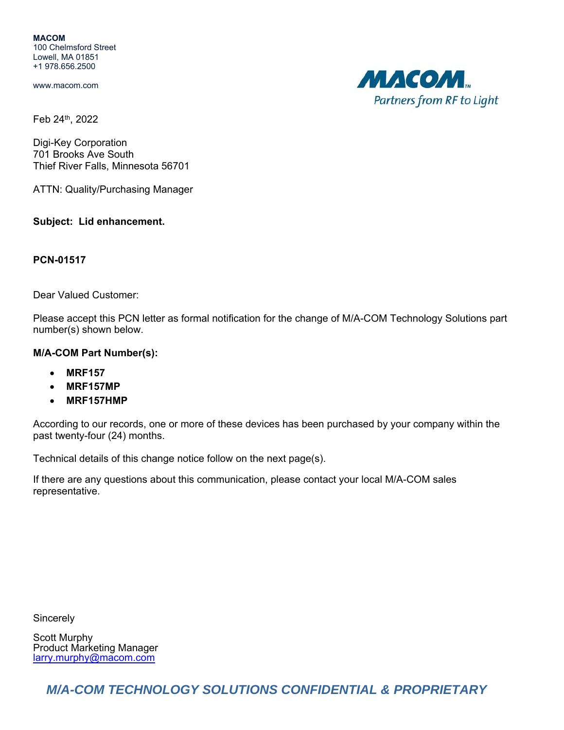**MACOM** 100 Chelmsford Street Lowell, MA 01851 +1 978.656.2500

www.macom.com

Feb 24th, 2022

Digi-Key Corporation 701 Brooks Ave South Thief River Falls, Minnesota 56701

ATTN: Quality/Purchasing Manager

## **Subject: Lid enhancement.**

## **PCN-01517**

Dear Valued Customer:

Please accept this PCN letter as formal notification for the change of M/A-COM Technology Solutions part number(s) shown below.

## **M/A-COM Part Number(s):**

- **MRF157**
- **MRF157MP**
- **MRF157HMP**

According to our records, one or more of these devices has been purchased by your company within the past twenty-four (24) months.

Technical details of this change notice follow on the next page(s).

If there are any questions about this communication, please contact your local M/A-COM sales representative.

**Sincerely** 

Scott Murphy Product Marketing Manager larry.murphy@macom.com

*M/A-COM TECHNOLOGY SOLUTIONS CONFIDENTIAL & PROPRIETARY* 

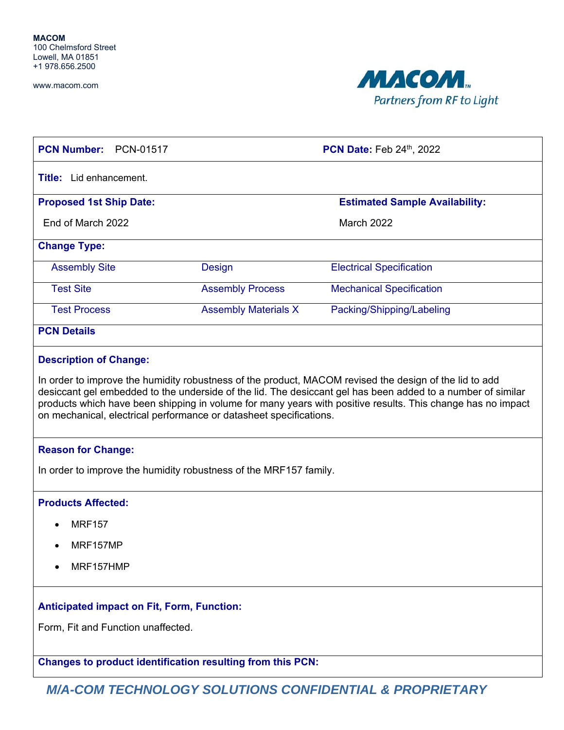www.macom.com



| <b>PCN Number:</b><br>PCN-01517                   |                                                                   | <b>PCN Date: Feb 24th, 2022</b>       |
|---------------------------------------------------|-------------------------------------------------------------------|---------------------------------------|
| <b>Title:</b> Lid enhancement.                    |                                                                   |                                       |
| <b>Proposed 1st Ship Date:</b>                    |                                                                   | <b>Estimated Sample Availability:</b> |
| End of March 2022                                 |                                                                   | March 2022                            |
| <b>Change Type:</b>                               |                                                                   |                                       |
| <b>Assembly Site</b>                              | <b>Design</b>                                                     | <b>Electrical Specification</b>       |
| <b>Test Site</b>                                  | <b>Assembly Process</b>                                           | <b>Mechanical Specification</b>       |
| <b>Test Process</b>                               | <b>Assembly Materials X</b>                                       | Packing/Shipping/Labeling             |
| <b>PCN Details</b>                                |                                                                   |                                       |
| <b>Reason for Change:</b>                         | In order to improve the humidity robustness of the MRF157 family. |                                       |
| <b>Products Affected:</b>                         |                                                                   |                                       |
| <b>MRF157</b>                                     |                                                                   |                                       |
| MRF157MP<br>$\bullet$                             |                                                                   |                                       |
| MRF157HMP                                         |                                                                   |                                       |
| <b>Anticipated impact on Fit, Form, Function:</b> |                                                                   |                                       |
| Form, Fit and Function unaffected.                |                                                                   |                                       |
|                                                   | <b>Changes to product identification resulting from this PCN:</b> |                                       |

*M/A-COM TECHNOLOGY SOLUTIONS CONFIDENTIAL & PROPRIETARY*